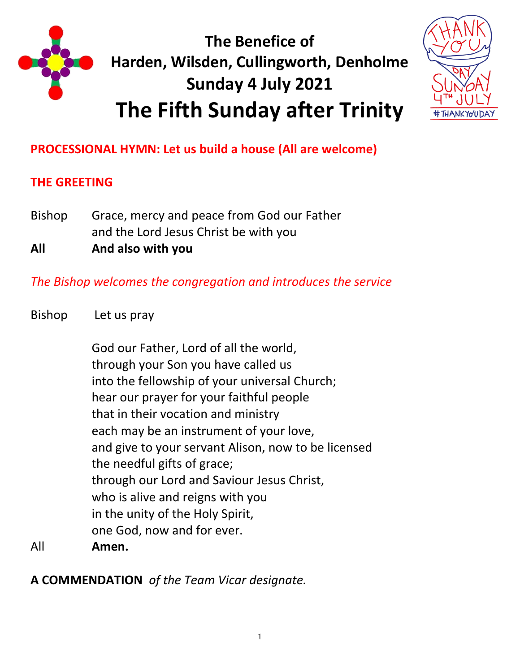

# **The Benefice of Harden, Wilsden, Cullingworth, Denholme Sunday 4 July 2021 The Fifth Sunday after Trinity**



**PROCESSIONAL HYMN: Let us build a house (All are welcome)**

## **THE GREETING**

Bishop Grace, mercy and peace from God our Father and the Lord Jesus Christ be with you **All And also with you**

*The Bishop welcomes the congregation and introduces the service*

Bishop Let us pray

God our Father, Lord of all the world, through your Son you have called us into the fellowship of your universal Church; hear our prayer for your faithful people that in their vocation and ministry each may be an instrument of your love, and give to your servant Alison, now to be licensed the needful gifts of grace; through our Lord and Saviour Jesus Christ, who is alive and reigns with you in the unity of the Holy Spirit, one God, now and for ever.

All **Amen.**

**A COMMENDATION** *of the Team Vicar designate.*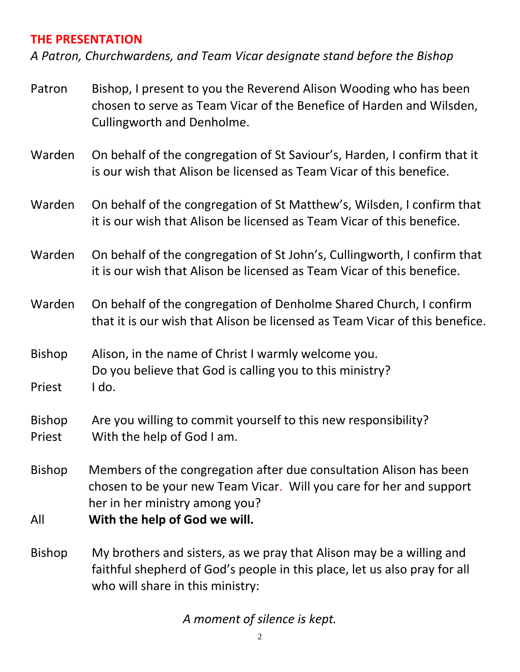#### **THE PRESENTATION**

*A Patron, Churchwardens, and Team Vicar designate stand before the Bishop* 

| Patron                  | Bishop, I present to you the Reverend Alison Wooding who has been<br>chosen to serve as Team Vicar of the Benefice of Harden and Wilsden,<br>Cullingworth and Denholme.                                      |
|-------------------------|--------------------------------------------------------------------------------------------------------------------------------------------------------------------------------------------------------------|
| Warden                  | On behalf of the congregation of St Saviour's, Harden, I confirm that it<br>is our wish that Alison be licensed as Team Vicar of this benefice.                                                              |
| Warden                  | On behalf of the congregation of St Matthew's, Wilsden, I confirm that<br>it is our wish that Alison be licensed as Team Vicar of this benefice.                                                             |
| Warden                  | On behalf of the congregation of St John's, Cullingworth, I confirm that<br>it is our wish that Alison be licensed as Team Vicar of this benefice.                                                           |
| Warden                  | On behalf of the congregation of Denholme Shared Church, I confirm<br>that it is our wish that Alison be licensed as Team Vicar of this benefice.                                                            |
| <b>Bishop</b><br>Priest | Alison, in the name of Christ I warmly welcome you.<br>Do you believe that God is calling you to this ministry?<br>I do.                                                                                     |
| <b>Bishop</b><br>Priest | Are you willing to commit yourself to this new responsibility?<br>With the help of God I am.                                                                                                                 |
| <b>Bishop</b><br>All    | Members of the congregation after due consultation Alison has been<br>chosen to be your new Team Vicar. Will you care for her and support<br>her in her ministry among you?<br>With the help of God we will. |
| <b>Bishop</b>           | My brothers and sisters, as we pray that Alison may be a willing and<br>faithful shepherd of God's people in this place, let us also pray for all<br>who will share in this ministry:                        |

*A moment of silence is kept.*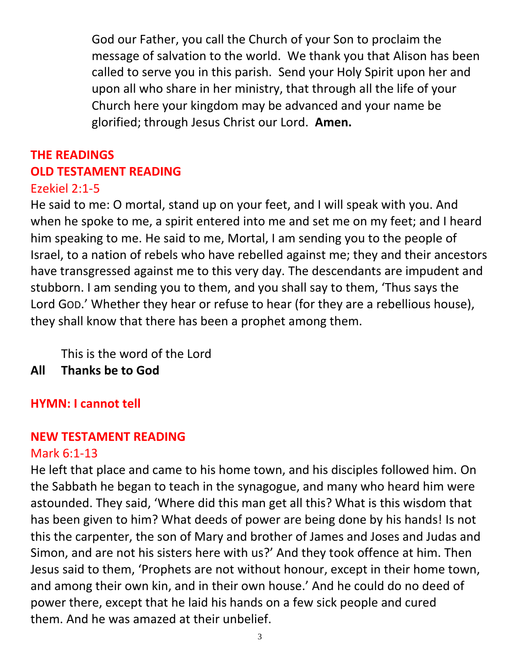God our Father, you call the Church of your Son to proclaim the message of salvation to the world. We thank you that Alison has been called to serve you in this parish. Send your Holy Spirit upon her and upon all who share in her ministry, that through all the life of your Church here your kingdom may be advanced and your name be glorified; through Jesus Christ our Lord. **Amen.**

# **THE READINGS OLD TESTAMENT READING**

## Ezekiel 2:1-5

He said to me: O mortal, stand up on your feet, and I will speak with you. And when he spoke to me, a spirit entered into me and set me on my feet; and I heard him speaking to me. He said to me, Mortal, I am sending you to the people of Israel, to a nation of rebels who have rebelled against me; they and their ancestors have transgressed against me to this very day. The descendants are impudent and stubborn. I am sending you to them, and you shall say to them, 'Thus says the Lord GOD.' Whether they hear or refuse to hear (for they are a rebellious house), they shall know that there has been a prophet among them.

This is the word of the Lord

**All Thanks be to God**

## **HYMN: I cannot tell**

## **NEW TESTAMENT READING**

## Mark 6:1-13

He left that place and came to his home town, and his disciples followed him. On the Sabbath he began to teach in the synagogue, and many who heard him were astounded. They said, 'Where did this man get all this? What is this wisdom that has been given to him? What deeds of power are being done by his hands! Is not this the carpenter, the son of Mary and brother of James and Joses and Judas and Simon, and are not his sisters here with us?' And they took offence at him. Then Jesus said to them, 'Prophets are not without honour, except in their home town, and among their own kin, and in their own house.' And he could do no deed of power there, except that he laid his hands on a few sick people and cured them. And he was amazed at their unbelief.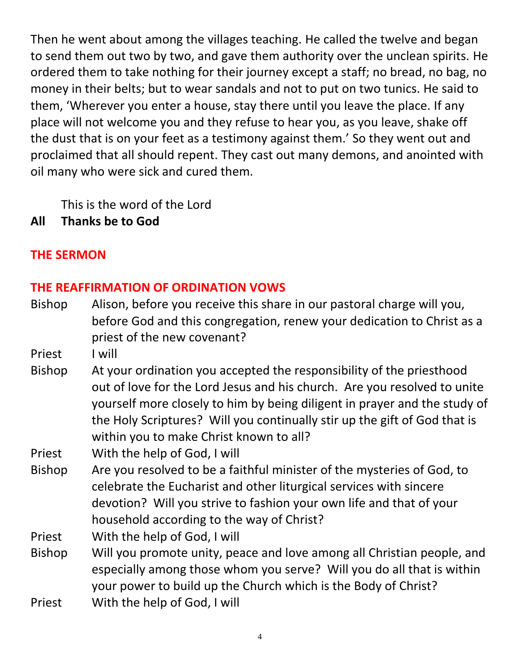Then he went about among the villages teaching. He called the twelve and began to send them out two by two, and gave them authority over the unclean spirits. He ordered them to take nothing for their journey except a staff; no bread, no bag, no money in their belts; but to wear sandals and not to put on two tunics. He said to them, 'Wherever you enter a house, stay there until you leave the place. If any place will not welcome you and they refuse to hear you, as you leave, shake off the dust that is on your feet as a testimony against them.' So they went out and proclaimed that all should repent. They cast out many demons, and anointed with oil many who were sick and cured them.

This is the word of the Lord

**All Thanks be to God**

## **THE SERMON**

## **THE REAFFIRMATION OF ORDINATION VOWS**

- Bishop Alison, before you receive this share in our pastoral charge will you, before God and this congregation, renew your dedication to Christ as a priest of the new covenant?
- Priest I will
- Bishop At your ordination you accepted the responsibility of the priesthood out of love for the Lord Jesus and his church. Are you resolved to unite yourself more closely to him by being diligent in prayer and the study of the Holy Scriptures? Will you continually stir up the gift of God that is within you to make Christ known to all?

Priest With the help of God, I will

- Bishop Are you resolved to be a faithful minister of the mysteries of God, to celebrate the Eucharist and other liturgical services with sincere devotion? Will you strive to fashion your own life and that of your household according to the way of Christ?
- Priest With the help of God, I will
- Bishop Will you promote unity, peace and love among all Christian people, and especially among those whom you serve? Will you do all that is within your power to build up the Church which is the Body of Christ?
- Priest With the help of God, I will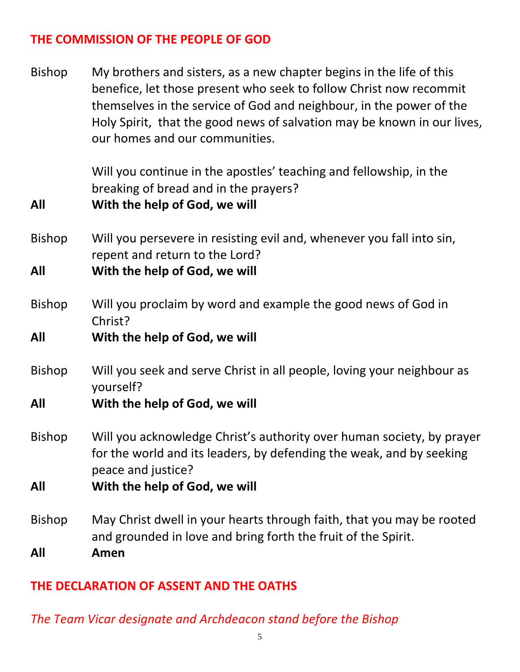## **THE COMMISSION OF THE PEOPLE OF GOD**

Bishop My brothers and sisters, as a new chapter begins in the life of this benefice, let those present who seek to follow Christ now recommit themselves in the service of God and neighbour, in the power of the Holy Spirit, that the good news of salvation may be known in our lives, our homes and our communities.

> Will you continue in the apostles' teaching and fellowship, in the breaking of bread and in the prayers?

- **All With the help of God, we will**
- Bishop Will you persevere in resisting evil and, whenever you fall into sin, repent and return to the Lord?

**All With the help of God, we will**

Bishop Will you proclaim by word and example the good news of God in Christ?

#### **All With the help of God, we will**

- Bishop Will you seek and serve Christ in all people, loving your neighbour as yourself?
- **All With the help of God, we will**
- Bishop Will you acknowledge Christ's authority over human society, by prayer for the world and its leaders, by defending the weak, and by seeking peace and justice?
- **All With the help of God, we will**
- Bishop May Christ dwell in your hearts through faith, that you may be rooted and grounded in love and bring forth the fruit of the Spirit. **All Amen**

#### **THE DECLARATION OF ASSENT AND THE OATHS**

*The Team Vicar designate and Archdeacon stand before the Bishop*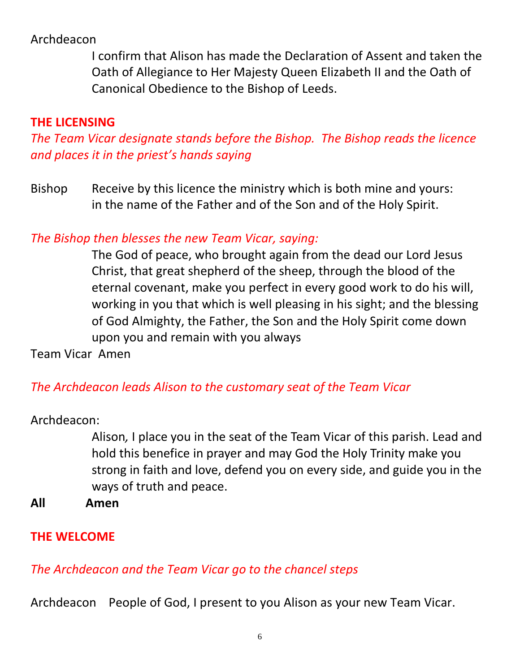## Archdeacon

I confirm that Alison has made the Declaration of Assent and taken the Oath of Allegiance to Her Majesty Queen Elizabeth II and the Oath of Canonical Obedience to the Bishop of Leeds.

## **THE LICENSING**

*The Team Vicar designate stands before the Bishop. The Bishop reads the licence and places it in the priest's hands saying*

Bishop Receive by this licence the ministry which is both mine and yours: in the name of the Father and of the Son and of the Holy Spirit.

## *The Bishop then blesses the new Team Vicar, saying:*

The God of peace, who brought again from the dead our Lord Jesus Christ, that great shepherd of the sheep, through the blood of the eternal covenant, make you perfect in every good work to do his will, working in you that which is well pleasing in his sight; and the blessing of God Almighty, the Father, the Son and the Holy Spirit come down upon you and remain with you always

Team VicarAmen

## *The Archdeacon leads Alison to the customary seat of the Team Vicar*

Archdeacon:

Alison*,* I place you in the seat of the Team Vicar of this parish. Lead and hold this benefice in prayer and may God the Holy Trinity make you strong in faith and love, defend you on every side, and guide you in the ways of truth and peace.

**All Amen** 

## **THE WELCOME**

## *The Archdeacon and the Team Vicar go to the chancel steps*

Archdeacon People of God, I present to you Alison as your new Team Vicar.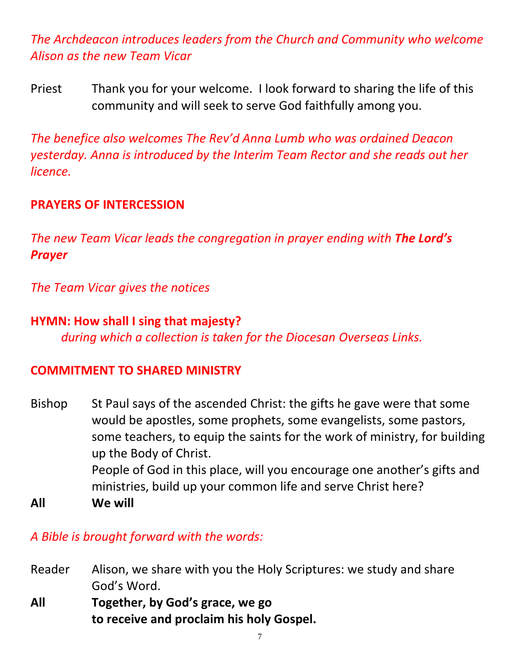*The Archdeacon introduces leaders from the Church and Community who welcome Alison as the new Team Vicar*

Priest Thank you for your welcome. I look forward to sharing the life of this community and will seek to serve God faithfully among you.

*The benefice also welcomes The Rev'd Anna Lumb who was ordained Deacon yesterday. Anna is introduced by the Interim Team Rector and she reads out her licence.*

#### **PRAYERS OF INTERCESSION**

*The new Team Vicar leads the congregation in prayer ending with The Lord's Prayer*

*The Team Vicar gives the notices*

#### **HYMN: How shall I sing that majesty?**

*during which a collection is taken for the Diocesan Overseas Links.* 

#### **COMMITMENT TO SHARED MINISTRY**

- Bishop St Paul says of the ascended Christ: the gifts he gave were that some would be apostles, some prophets, some evangelists, some pastors, some teachers, to equip the saints for the work of ministry, for building up the Body of Christ. People of God in this place, will you encourage one another's gifts and ministries, build up your common life and serve Christ here?
- **All We will**

#### *A Bible is brought forward with the words:*

- Reader Alison, we share with you the Holy Scriptures: we study and share God's Word.
- **All Together, by God's grace, we go to receive and proclaim his holy Gospel.**